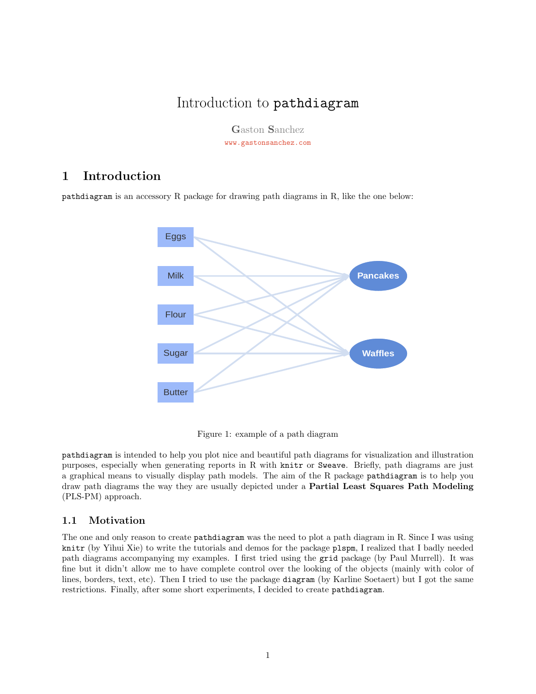# Introduction to pathdiagram

Gaston Sanchez [www.gastonsanchez.com](http://www.gastonsanchez.com)

## 1 Introduction

pathdiagram is an accessory R package for drawing path diagrams in R, like the one below:



Figure 1: example of a path diagram

pathdiagram is intended to help you plot nice and beautiful path diagrams for visualization and illustration purposes, especially when generating reports in R with knitr or Sweave. Briefly, path diagrams are just a graphical means to visually display path models. The aim of the R package pathdiagram is to help you draw path diagrams the way they are usually depicted under a Partial Least Squares Path Modeling (PLS-PM) approach.

## 1.1 Motivation

The one and only reason to create pathdiagram was the need to plot a path diagram in R. Since I was using knitr (by Yihui Xie) to write the tutorials and demos for the package plspm, I realized that I badly needed path diagrams accompanying my examples. I first tried using the grid package (by Paul Murrell). It was fine but it didn't allow me to have complete control over the looking of the objects (mainly with color of lines, borders, text, etc). Then I tried to use the package diagram (by Karline Soetaert) but I got the same restrictions. Finally, after some short experiments, I decided to create pathdiagram.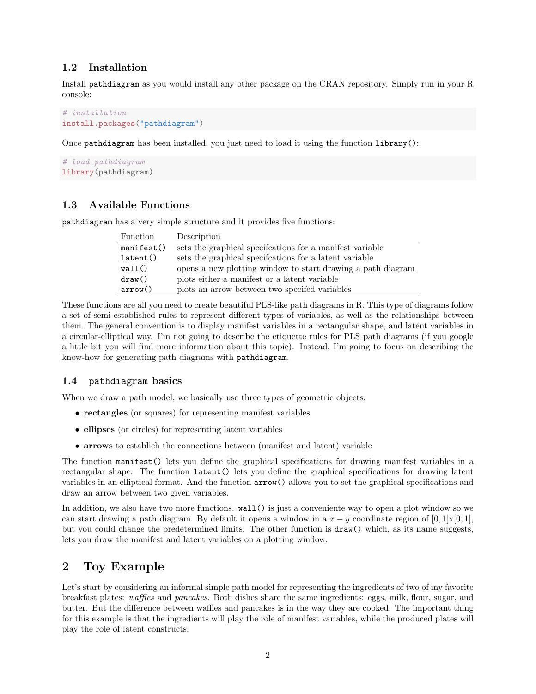## 1.2 Installation

Install pathdiagram as you would install any other package on the CRAN repository. Simply run in your R console:

```
# installation
install.packages("pathdiagram")
```
Once pathdiagram has been installed, you just need to load it using the function library():

```
# load pathdiagram
library(pathdiagram)
```
## 1.3 Available Functions

pathdiagram has a very simple structure and it provides five functions:

| <b>Function</b> | Description                                                 |
|-----------------|-------------------------------------------------------------|
| manifest()      | sets the graphical specifications for a manifest variable   |
| latent()        | sets the graphical specifications for a latent variable     |
| wall()          | opens a new plotting window to start drawing a path diagram |
| draw()          | plots either a manifest or a latent variable                |
| arrow()         | plots an arrow between two specifed variables               |

These functions are all you need to create beautiful PLS-like path diagrams in R. This type of diagrams follow a set of semi-established rules to represent different types of variables, as well as the relationships between them. The general convention is to display manifest variables in a rectangular shape, and latent variables in a circular-elliptical way. I'm not going to describe the etiquette rules for PLS path diagrams (if you google a little bit you will find more information about this topic). Instead, I'm going to focus on describing the know-how for generating path diagrams with pathdiagram.

#### 1.4 pathdiagram basics

When we draw a path model, we basically use three types of geometric objects:

- rectangles (or squares) for representing manifest variables
- ellipses (or circles) for representing latent variables
- arrows to establich the connections between (manifest and latent) variable

The function manifest() lets you define the graphical specifications for drawing manifest variables in a rectangular shape. The function latent() lets you define the graphical specifications for drawing latent variables in an elliptical format. And the function arrow() allows you to set the graphical specifications and draw an arrow between two given variables.

In addition, we also have two more functions. wall() is just a conveniente way to open a plot window so we can start drawing a path diagram. By default it opens a window in a  $x - y$  coordinate region of [0, 1]x[0, 1], but you could change the predetermined limits. The other function is draw() which, as its name suggests, lets you draw the manifest and latent variables on a plotting window.

## 2 Toy Example

Let's start by considering an informal simple path model for representing the ingredients of two of my favorite breakfast plates: waffles and pancakes. Both dishes share the same ingredients: eggs, milk, flour, sugar, and butter. But the difference between waffles and pancakes is in the way they are cooked. The important thing for this example is that the ingredients will play the role of manifest variables, while the produced plates will play the role of latent constructs.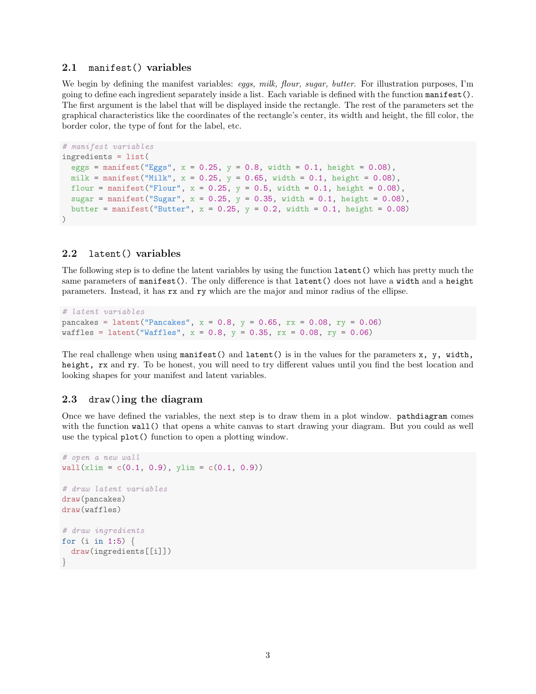#### 2.1 manifest() variables

We begin by defining the manifest variables: eggs, milk, flour, sugar, butter. For illustration purposes, I'm going to define each ingredient separately inside a list. Each variable is defined with the function manifest(). The first argument is the label that will be displayed inside the rectangle. The rest of the parameters set the graphical characteristics like the coordinates of the rectangle's center, its width and height, the fill color, the border color, the type of font for the label, etc.

```
# manifest variables
ingredients = list(
 eggs = manifest("Eggs", x = 0.25, y = 0.8, width = 0.1, height = 0.08),
 milk = manifest("Milk", x = 0.25, y = 0.65, width = 0.1, height = 0.08),
 flour = manifest("Flour", x = 0.25, y = 0.5, width = 0.1, height = 0.08),
 sugar = manifest("Sugar", x = 0.25, y = 0.35, width = 0.1, height = 0.08),
 butter = manifest("Butter", x = 0.25, y = 0.2, width = 0.1, height = 0.08)
)
```
#### 2.2 latent() variables

The following step is to define the latent variables by using the function latent() which has pretty much the same parameters of manifest(). The only difference is that latent() does not have a width and a height parameters. Instead, it has rx and ry which are the major and minor radius of the ellipse.

```
# latent variables
pancakes = latent("Pancakes", x = 0.8, y = 0.65, rx = 0.08, ry = 0.06)
waffles = latent("Waffles", x = 0.8, y = 0.35, rx = 0.08, ry = 0.06)
```
The real challenge when using manifest() and latent() is in the values for the parameters  $x$ ,  $y$ , width, height, rx and ry. To be honest, you will need to try different values until you find the best location and looking shapes for your manifest and latent variables.

#### 2.3 draw()ing the diagram

Once we have defined the variables, the next step is to draw them in a plot window. pathdiagram comes with the function wall() that opens a white canvas to start drawing your diagram. But you could as well use the typical plot() function to open a plotting window.

```
# open a new wall
wall(xlim = c(0.1, 0.9), ylim = c(0.1, 0.9))# draw latent variables
draw(pancakes)
draw(waffles)
# draw ingredients
for (i in 1:5) {
  draw(ingredients[[i]])
}
```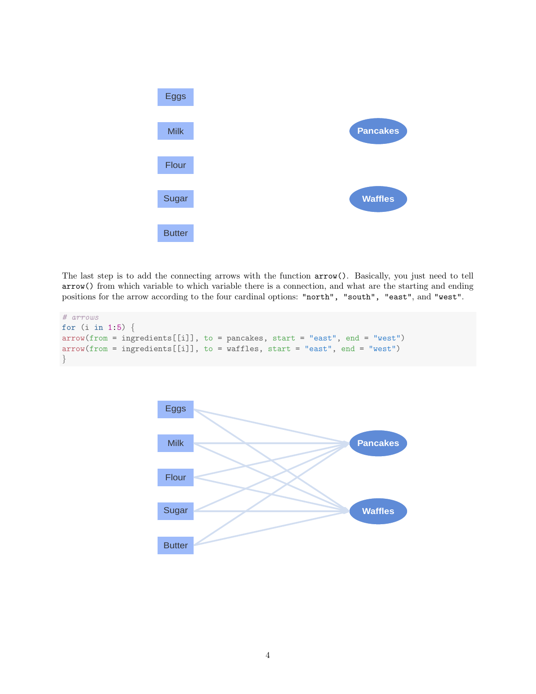

The last step is to add the connecting arrows with the function arrow(). Basically, you just need to tell arrow() from which variable to which variable there is a connection, and what are the starting and ending positions for the arrow according to the four cardinal options: "north", "south", "east", and "west".

```
# arrows
for (i in 1:5) {
arrow(from = ingredients[[i]], to = pancakes, start = "east", end = "west")
arrow(from = ingredients[[i]], to = waffles, start = "east", end = "west")
}
```
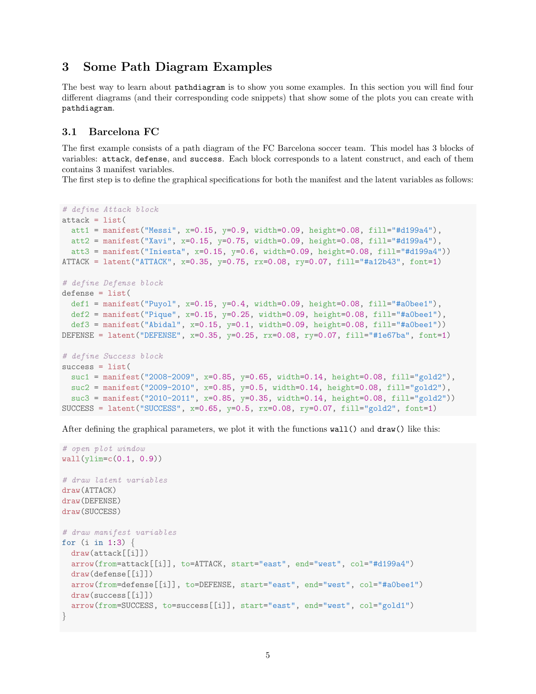## 3 Some Path Diagram Examples

The best way to learn about pathdiagram is to show you some examples. In this section you will find four different diagrams (and their corresponding code snippets) that show some of the plots you can create with pathdiagram.

## 3.1 Barcelona FC

The first example consists of a path diagram of the FC Barcelona soccer team. This model has 3 blocks of variables: attack, defense, and success. Each block corresponds to a latent construct, and each of them contains 3 manifest variables.

The first step is to define the graphical specifications for both the manifest and the latent variables as follows:

```
# define Attack block
attack = list(att1 = manifest("Messi", x=0.15, y=0.9, width=0.09, height=0.08, fill="#d199a4"),
 att2 = manifest("Xavi", x=0.15, y=0.75, width=0.09, height=0.08, fill="#d199a4"),
 att3 = manifest("Iniesta", x=0.15, y=0.6, width=0.09, height=0.08, fill="#d199a4"))
ATTACK = latent("ATTACK", x=0.35, y=0.75, rx=0.08, ry=0.07, fill="#a12b43", font=1)
# define Defense block
defense = list(def1 = manifest("Puyol", x=0.15, y=0.4, width=0.09, height=0.08, fill="#a0bee1"),
 def2 = manifest("Pique", x=0.15, y=0.25, width=0.09, height=0.08, fill="#a0bee1"),
 def3 = manifest("Abidal", x=0.15, y=0.1, width=0.09, height=0.08, fill="#a0bee1"))
DEFENSE = latent("DEFENSE", x=0.35, y=0.25, rx=0.08, ry=0.07, fill="#1e67ba", font=1)
# define Success block
success = list(suc1 = manifest("2008-2009", x=0.85, y=0.65, width=0.14, height=0.08, fill="gold2"),
  suc2 = manifest("2009-2010", x=0.85, y=0.5, width=0.14, height=0.08, fill="gold2"),
  suc3 = manifest("2010-2011", x=0.85, y=0.35, width=0.14, height=0.08, fill="gold2"))
SUCCESS = latent("SUCCESS", x=0.65, y=0.5, rx=0.08, ry=0.07, fill="gold2", font=1)
```
After defining the graphical parameters, we plot it with the functions wall() and draw() like this:

```
# open plot window
wall(ylim=c(0.1, 0.9))# draw latent variables
draw(ATTACK)
draw(DEFENSE)
draw(SUCCESS)
# draw manifest variables
for (i \text{ in } 1:3) {
 draw(attack[[i]])
  arrow(from=attack[[i]], to=ATTACK, start="east", end="west", col="#d199a4")
  draw(defense[[i]])
  arrow(from=defense[[i]], to=DEFENSE, start="east", end="west", col="#a0bee1")
  draw(success[[i]])
  arrow(from=SUCCESS, to=success[[i]], start="east", end="west", col="gold1")
}
```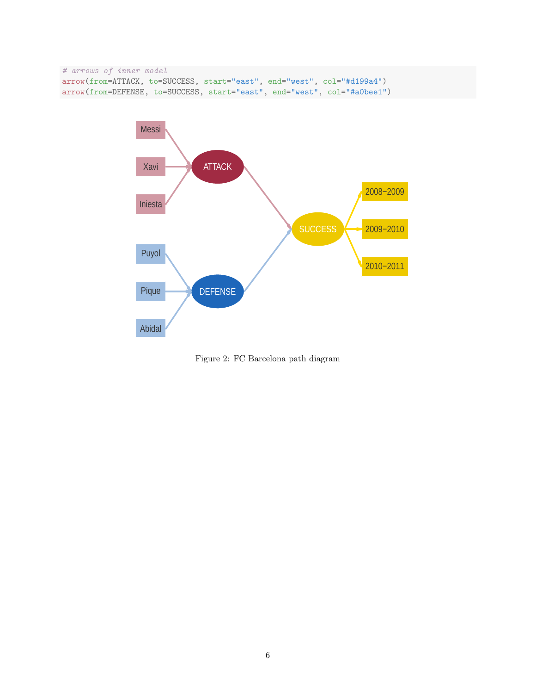```
# arrows of inner model
arrow(from=ATTACK, to=SUCCESS, start="east", end="west", col="#d199a4")
arrow(from=DEFENSE, to=SUCCESS, start="east", end="west", col="#a0bee1")
```


Figure 2: FC Barcelona path diagram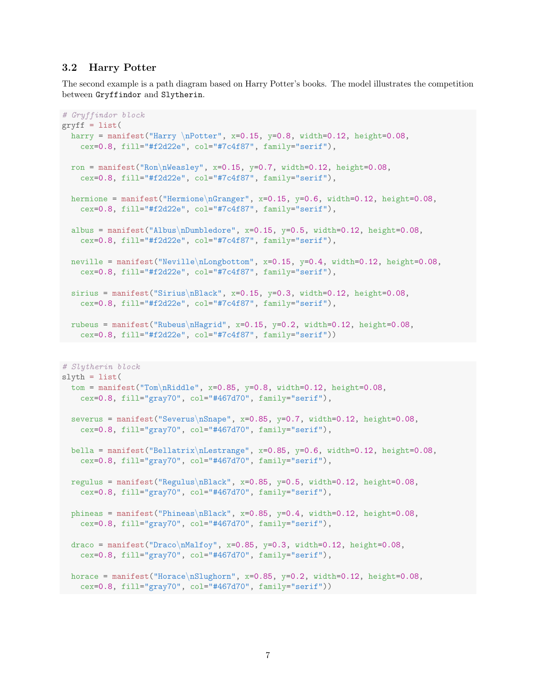### 3.2 Harry Potter

The second example is a path diagram based on Harry Potter's books. The model illustrates the competition between Gryffindor and Slytherin.

```
# Gryffindor block
gryff = list(
 harry = manifest("Harry \nPotter", x=0.15, y=0.8, width=0.12, height=0.08,
    cex=0.8, fill="#f2d22e", col="#7c4f87", family="serif"),
 ron = manifest("Ron\nWeasley", x=0.15, y=0.7, width=0.12, height=0.08,
   cex=0.8, fill="#f2d22e", col="#7c4f87", family="serif"),
 hermione = manifest("Hermione\nGranger", x=0.15, y=0.6, width=0.12, height=0.08,
    cex=0.8, fill="#f2d22e", col="#7c4f87", family="serif"),
 albus = manifest("Albus\nDumbledore", x=0.15, y=0.5, width=0.12, height=0.08,
    cex=0.8, fill="#f2d22e", col="#7c4f87", family="serif"),
 neville = manifest("Neville\nLongbottom", x=0.15, y=0.4, width=0.12, height=0.08,
    cex=0.8, fill="#f2d22e", col="#7c4f87", family="serif"),
  sirius = manifest("Sirius\nBlack", x=0.15, y=0.3, width=0.12, height=0.08,
   cex=0.8, fill="#f2d22e", col="#7c4f87", family="serif"),
 rubeus = manifest("Rubeus\nHagrid", x=0.15, y=0.2, width=0.12, height=0.08,
   cex=0.8, fill="#f2d22e", col="#7c4f87", family="serif"))
# Slytherin block
slyth = list(tom = manifest("Tom\nRiddle", x=0.85, y=0.8, width=0.12, height=0.08,
    cex=0.8, fill="gray70", col="#467d70", family="serif"),
  severus = manifest("Severus\nSnape", x=0.85, y=0.7, width=0.12, height=0.08,
    cex=0.8, fill="gray70", col="#467d70", family="serif"),
  bella = manifest("Bellatrix\nLestrange", x=0.85, y=0.6, width=0.12, height=0.08,
   cex=0.8, fill="gray70", col="#467d70", family="serif"),
  regulus = manifest("Regulus\nBlack", x=0.85, y=0.5, width=0.12, height=0.08,
   cex=0.8, fill="gray70", col="#467d70", family="serif"),
  phineas = manifest("Phineas\nBlack", x=0.85, y=0.4, width=0.12, height=0.08,
    cex=0.8, fill="gray70", col="#467d70", family="serif"),
 draco = manifest("Draco\nMalfoy", x=0.85, y=0.3, width=0.12, height=0.08,
    cex=0.8, fill="gray70", col="#467d70", family="serif"),
 horace = manifest("Horace\nSlughorn", x=0.85, y=0.2, width=0.12, height=0.08,
```

```
cex=0.8, fill="gray70", col="#467d70", family="serif"))
```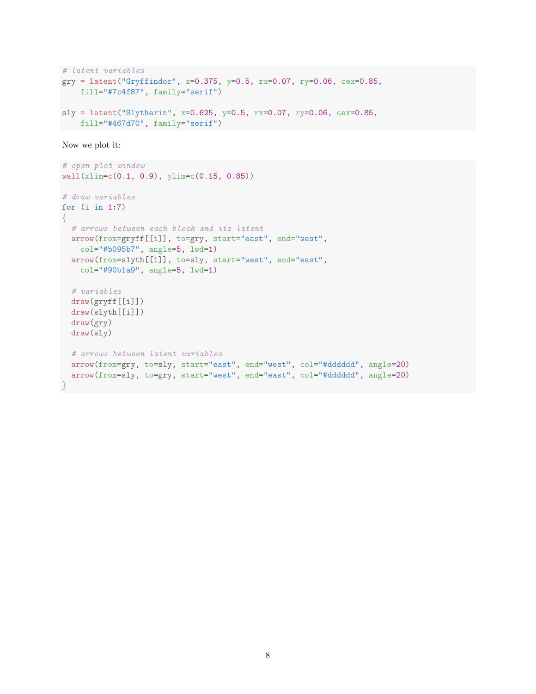```
# latent variables
gry = latent("Gryffindor", x=0.375, y=0.5, rx=0.07, ry=0.06, cex=0.85,
    fill="#7c4f87", family="serif")
sly = latent("Slytherin", x=0.625, y=0.5, rx=0.07, ry=0.06, cex=0.85,
   fill="#467d70", family="serif")
```
Now we plot it:

```
# open plot window
wall(xlim=c(0.1, 0.9), ylim=c(0.15, 0.85))
# draw variables
for (i in 1:7)
{
  # arrows between each block and its latent
 arrow(from=gryff[[i]], to=gry, start="east", end="west",
   col="#b095b7", angle=5, lwd=1)
 arrow(from=slyth[[i]], to=sly, start="west", end="east",
   col="#90b1a9", angle=5, lwd=1)
  # variables
 draw(gryff[[i]])
 draw(slyth[[i]])
 draw(gry)
  draw(sly)
  # arrows between latent variables
  arrow(from=gry, to=sly, start="east", end="west", col="#dddddd", angle=20)
  arrow(from=sly, to=gry, start="west", end="east", col="#dddddd", angle=20)
}
```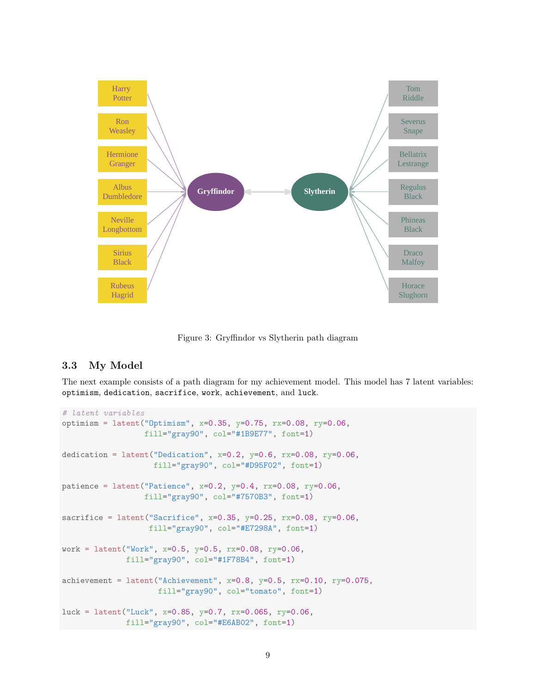

Figure 3: Gryffindor vs Slytherin path diagram

## 3.3 My Model

The next example consists of a path diagram for my achievement model. This model has 7 latent variables: optimism, dedication, sacrifice, work, achievement, and luck.

```
# latent variables
optimism = latent("Optimism", x=0.35, y=0.75, rx=0.08, ry=0.06,
                  fill="gray90", col="#1B9E77", font=1)
dedication = latent("Dedication", x=0.2, y=0.6, rx=0.08, ry=0.06,
                    fill="gray90", col="#D95F02", font=1)
patience = latent("Patience", x=0.2, y=0.4, rx=0.08, ry=0.06,
                  fill="gray90", col="#7570B3", font=1)
sacrifice = latent ("Sacrifice", x=0.35, y=0.25, rx=0.08, ry=0.06,
                   fill="gray90", col="#E7298A", font=1)
work = latent("Work", x=0.5, y=0.5, rx=0.08, ry=0.06,
              fill="gray90", col="#1F78B4", font=1)
achievement = latent("Achievement", x=0.8, y=0.5, rx=0.10, ry=0.075,
                     fill="gray90", col="tomato", font=1)
luck = latent("Luck", x=0.85, y=0.7, rx=0.065, ry=0.06,
              fill="gray90", col="#E6AB02", font=1)
```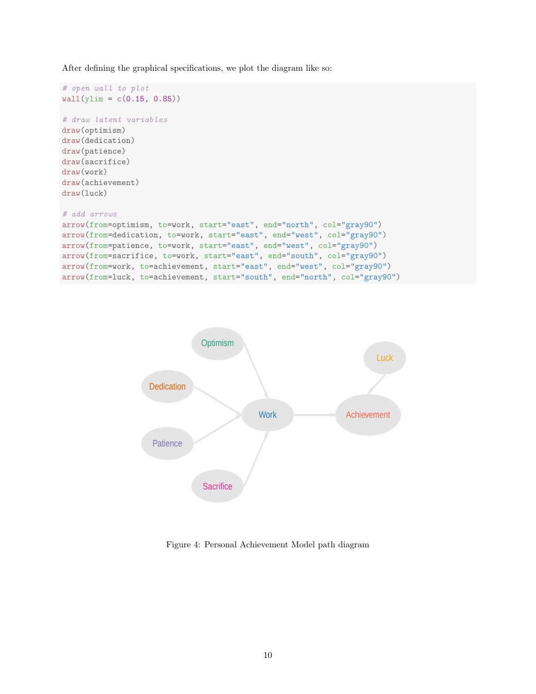After defining the graphical specifications, we plot the diagram like so:

```
# open wall to plot
wall(ylim = c(0.15, 0.85))# draw latent variables
draw(optimism)
draw(dedication)
draw(patience)
draw(sacrifice)
draw(work)
draw(achievement)
draw(luck)
# add arrows
arrow(from=optimism, to=work, start="east", end="north", col="gray90")
arrow(from=dedication, to=work, start="east", end="west", col="gray90")
arrow(from=patience, to=work, start="east", end="west", col="gray90")
arrow(from=sacrifice, to=work, start="east", end="south", col="gray90")
arrow(from=work, to=achievement, start="east", end="west", col="gray90")
arrow(from=luck, to=achievement, start="south", end="north", col="gray90")
```


Figure 4: Personal Achievement Model path diagram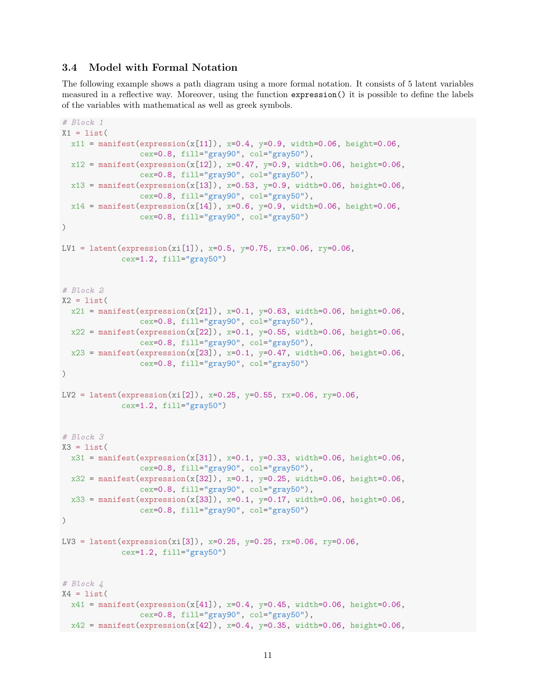### 3.4 Model with Formal Notation

The following example shows a path diagram using a more formal notation. It consists of 5 latent variables measured in a reflective way. Moreover, using the function expression() it is possible to define the labels of the variables with mathematical as well as greek symbols.

```
# Block 1
X1 = list(x11 = manifest(expression(x[11]), x=0.4, y=0.9, width=0.06, height=0.06,
                 cex=0.8, fill="gray90", col="gray50"),
  x12 = manifest(expression(x[12]), x=0.47, y=0.9, width=0.06, height=0.06,
                 cex=0.8, fill="gray90", col="gray50"),
  x13 = manifest(expression(x[13]), x=0.53, y=0.9, width=0.06, height=0.06,
                 cex=0.8, fill="gray90", col="gray50"),
  x14 = manifest(expression(x[14]), x=0.6, y=0.9, width=0.06, height=0.06,
                 cex=0.8, fill="gray90", col="gray50")
\lambdaLV1 = latent(expression(xi[1]), x=0.5, y=0.75, rx=0.06, ry=0.06,
             cex=1.2, fill="gray50")
# Block 2
X2 = list(x21 = manifest(expression(x[21]), x=0.1, y=0.63, width=0.06, height=0.06,
                 cex=0.8, fill="gray90", col="gray50"),
  x22 = manifest(expression(x[22]), x=0.1, y=0.55, width=0.06, height=0.06,
                 cex=0.8, fill="gray90", col="gray50"),
 x23 = manifest(expression(x[23]), x=0.1, y=0.47, width=0.06, height=0.06,
                 cex=0.8, fill="gray90", col="gray50")
)
LV2 = latent(expression(xi[2]), x=0.25, y=0.55, rx=0.06, ry=0.06,
             cex=1.2, fill="gray50")
# Block 3
X3 = list(x31 = manifest(expression(x[31]), x=0.1, y=0.33, width=0.06, height=0.06,
                 cex=0.8, fill="gray90", col="gray50"),
 x32 = manifest(expression(x[32]), x=0.1, y=0.25, width=0.06, height=0.06,
                 cex=0.8, fill="gray90", col="gray50"),
  x33 = manifest(expression(x[33]), x=0.1, y=0.17, width=0.06, height=0.06,
                 cex=0.8, fill="gray90", col="gray50")
)
LV3 = latent(expression(xi[3]), x=0.25, y=0.25, rx=0.06, ry=0.06,
             cex=1.2, fill="gray50")
# Block 4
X4 = list(x41 = manifest(expression(x[41]), x=0.4, y=0.45, width=0.06, height=0.06,
                 cex=0.8, fill="gray90", col="gray50"),
x42 = manifest(expression(x[42]), x=0.4, y=0.35, width=0.06, height=0.06,
```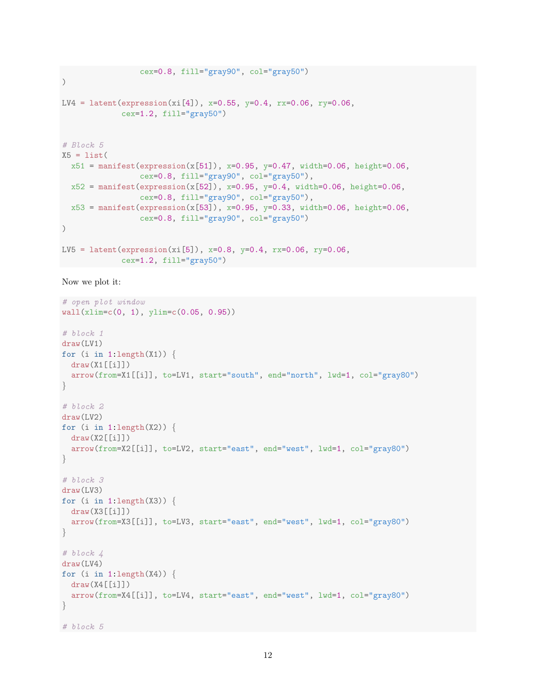```
cex=0.8, fill="gray90", col="gray50")
\lambdaLV4 = latent(expression(xi[4]), x=0.55, y=0.4, rx=0.06, ry=0.06,
             cex=1.2, fill="gray50")
# Block 5
X5 = list(x51 = manifest(expression(x[51]), x=0.95, y=0.47, width=0.06, height=0.06,
                 cex=0.8, fill="gray90", col="gray50"),
 x52 = manifest(expression(x[52]), x=0.95, y=0.4, width=0.06, height=0.06,
                 cex=0.8, fill="gray90", col="gray50"),
 x53 = manifest(expression(x[53]), x=0.95, y=0.33, width=0.06, height=0.06,
                 cex=0.8, fill="gray90", col="gray50")
)
LV5 = latent(expression(xi[5]), x=0.8, y=0.4, rx=0.06, ry=0.06,
             cex=1.2, fill="gray50")
```

```
Now we plot it:
```

```
# open plot window
wall(xlim=c(0, 1), ylim=c(0.05, 0.95))# block 1
draw(LV1)
for (i in 1:length(X1)) {
 draw(X1[[i]])arrow(from=X1[[i]], to=LV1, start="south", end="north", lwd=1, col="gray80")
}
# block 2
draw(LV2)
for (i in 1:length(X2)) {
 draw(X2[[i]])
 arrow(from=X2[[i]], to=LV2, start="east", end="west", lwd=1, col="gray80")
}
# block 3draw(LV3)
for (i in 1:length(X3)) {
 draw(X3[[i]])
 arrow(from=X3[[i]], to=LV3, start="east", end="west", lwd=1, col="gray80")
}
# block 4
draw(LV4)
for (i in 1:length(X4)) {
 draw(X4[[i]])
 arrow(from=X4[[i]], to=LV4, start="east", end="west", lwd=1, col="gray80")
}
# block 5
```